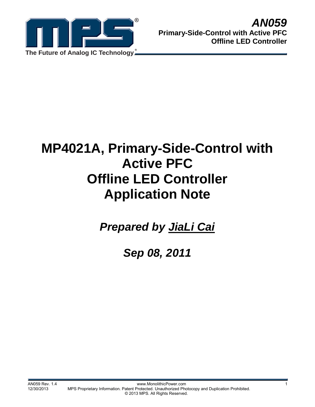

# **MP4021A, Primary-Side-Control with Active PFC Offline LED Controller Application Note**

*Prepared by JiaLi Cai*

*Sep 08, 2011*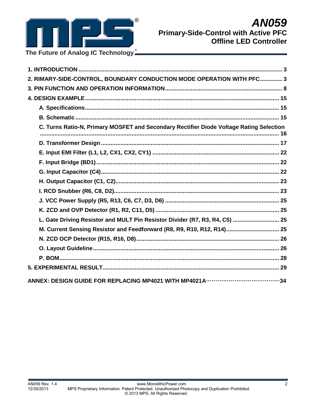

| 2. RIMARY-SIDE-CONTROL, BOUNDARY CONDUCTION MODE OPERATION WITH PFC 3                   |  |
|-----------------------------------------------------------------------------------------|--|
|                                                                                         |  |
|                                                                                         |  |
|                                                                                         |  |
|                                                                                         |  |
| C. Turns Ratio-N, Primary MOSFET and Secondary Rectifier Diode Voltage Rating Selection |  |
|                                                                                         |  |
|                                                                                         |  |
|                                                                                         |  |
|                                                                                         |  |
|                                                                                         |  |
|                                                                                         |  |
|                                                                                         |  |
|                                                                                         |  |
| L. Gate Driving Resistor and MULT Pin Resistor Divider (R7, R3, R4, C5)  25             |  |
| M. Current Sensing Resistor and Feedforward (R8, R9, R10, R12, R14) 25                  |  |
|                                                                                         |  |
|                                                                                         |  |
|                                                                                         |  |
|                                                                                         |  |
|                                                                                         |  |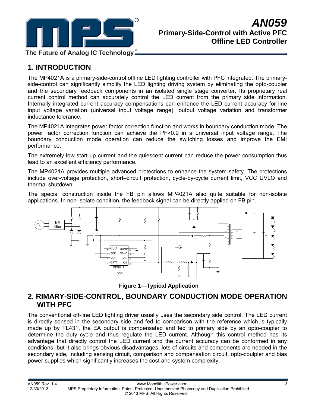

**The Future of Analog IC Technology**

# **1. INTRODUCTION**

The MP4021A is a primary-side-control offline LED lighting controller with PFC integrated. The primaryside-control can significantly simplify the LED lighting driving system by eliminating the opto-coupler and the secondary feedback components in an isolated single stage converter. Its proprietary real current control method can accurately control the LED current from the primary side information. Internally integrated current accuracy compensations can enhance the LED current accuracy for line input voltage variation (universal input voltage range), output voltage variation and transformer inductance tolerance.

The MP4021A integrates power factor correction function and works in boundary conduction mode. The power factor correction function can achieve the PF>0.9 in a universal input voltage range. The boundary conduction mode operation can reduce the switching losses and improve the EMI performance.

The extremely low start up current and the quiescent current can reduce the power consumption thus lead to an excellent efficiency performance.

The MP4021A provides multiple advanced protections to enhance the system safety. The protections include over-voltage protection, short–circuit protection, cycle-by-cycle current limit, VCC UVLO and thermal shutdown.

The special construction inside the FB pin allows MP4021A also quite suitable for non-isolate applications. In non-isolate condition, the feedback signal can be directly applied on FB pin.



**Figure 1—Typical Application** 

## **2. RIMARY-SIDE-CONTROL, BOUNDARY CONDUCTION MODE OPERATION WITH PFC**

The conventional off-line LED lighting driver usually uses the secondary side control. The LED current is directly sensed in the secondary side and fed to comparison with the reference which is typically made up by TL431, the EA output is compensated and fed to primary side by an opto-coupler to determine the duty cycle and thus regulate the LED current. Although this control method has its advantage that directly control the LED current and the current accuracy can be conformed in any conditions, but it also brings obvious disadvantages, lots of circuits and components are needed in the secondary side, including sensing circuit, comparison and compensation circuit, opto-coulpler and bias power supplies which significantly increases the cost and system complexity.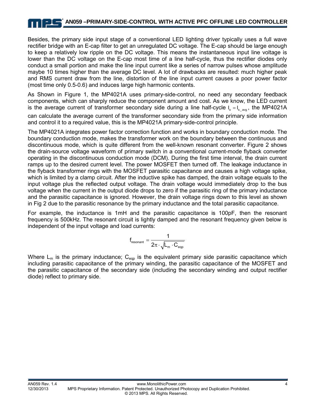Besides, the primary side input stage of a conventional LED lighting driver typically uses a full wave rectifier bridge with an E-cap filter to get an unregulated DC voltage. The E-cap should be large enough to keep a relatively low ripple on the DC voltage. This means the instantaneous input line voltage is lower than the DC voltage on the E-cap most time of a line half-cycle, thus the rectifier diodes only conduct a small portion and make the line input current like a series of narrow pulses whose amplitude maybe 10 times higher than the average DC level. A lot of drawbacks are resulted: much higher peak and RMS current draw from the line, distortion of the line input current causes a poor power factor (most time only 0.5-0.6) and induces large high harmonic contents.

As Shown in Figure 1, the MP4021A uses primary-side-control, no need any secondary feedback components, which can sharply reduce the component amount and cost. As we know, the LED current is the average current of transformer secondary side during a line half-cycle  $I_o = I_s$  avg, the MP4021A can calculate the average current of the transformer secondary side from the primary side information and control it to a required value, this is the MP4021A primary-side-control principle.

The MP4021A integrates power factor correction function and works in boundary conduction mode. The boundary conduction mode, makes the transformer work on the boundary between the continuous and discontinuous mode, which is quite different from the well-known resonant converter. Figure 2 shows the drain-source voltage waveform of primary switch in a conventional current-mode flyback converter operating in the discontinuous conduction mode (DCM). During the first time interval, the drain current ramps up to the desired current level. The power MOSFET then turned off. The leakage inductance in the flyback transformer rings with the MOSFET parasitic capacitance and causes a high voltage spike, which is limited by a clamp circuit. After the inductive spike has damped, the drain voltage equals to the input voltage plus the reflected output voltage. The drain voltage would immediately drop to the bus voltage when the current in the output diode drops to zero if the parasitic ring of the primary inductance and the parasitic capacitance is ignored. However, the drain voltage rings down to this level as shown in Fig 2 due to the parasitic resonance by the primary inductance and the total parasitic capacitance.

For example, the inductance is 1mH and the parasitic capacitance is 100pF, then the resonant frequency is 500kHz. The resonant circuit is lightly damped and the resonant frequency given below is independent of the input voltage and load currents:

$$
f_{\text{resonant}} = \frac{1}{2\pi \cdot \sqrt{L_m \cdot C_{\text{eqp}}}}
$$

Where  $L_m$  is the primary inductance;  $C_{\text{eqp}}$  is the equivalent primary side parasitic capacitance which including parasitic capacitance of the primary winding, the parasitic capacitance of the MOSFET and the parasitic capacitance of the secondary side (including the secondary winding and output rectifier diode) reflect to primary side.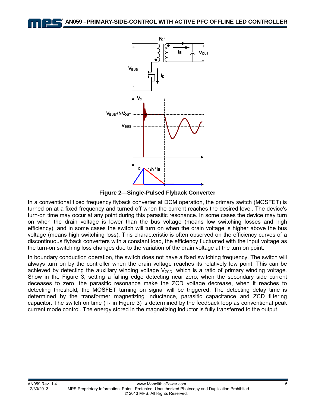**AN059 –PRIMARY-SIDE-CONTROL WITH ACTIVE PFC OFFLINE LED CONTROLLER** 



**Figure 2—Single-Pulsed Flyback Converter** 

In a conventional fixed frequency flyback converter at DCM operation, the primary switch (MOSFET) is turned on at a fixed frequency and turned off when the current reaches the desired level. The device's turn-on time may occur at any point during this parasitic resonance. In some cases the device may turn on when the drain voltage is lower than the bus voltage (means low switching losses and high efficiency), and in some cases the switch will turn on when the drain voltage is higher above the bus voltage (means high switching loss). This characteristic is often observed on the efficiency curves of a discontinuous flyback converters with a constant load, the efficiency fluctuated with the input voltage as the turn-on switching loss changes due to the variation of the drain voltage at the turn on point.

In boundary conduction operation, the switch does not have a fixed switching frequency. The switch will always turn on by the controller when the drain voltage reaches its relatively low point. This can be achieved by detecting the auxiliary winding voltage  $V_{ZCD}$ , which is a ratio of primary winding voltage. Show in the Figure 3, setting a falling edge detecting near zero, when the secondary side current deceases to zero, the parasitic resonance make the ZCD voltage decrease, when it reaches to detecting threshold, the MOSFET turning on signal will be triggered. The detecting delay time is determined by the transformer magnetizing inductance, parasitic capacitance and ZCD filtering capacitor. The switch on time  $(T_1$  in Figure 3) is determined by the feedback loop as conventional peak current mode control. The energy stored in the magnetizing inductor is fully transferred to the output.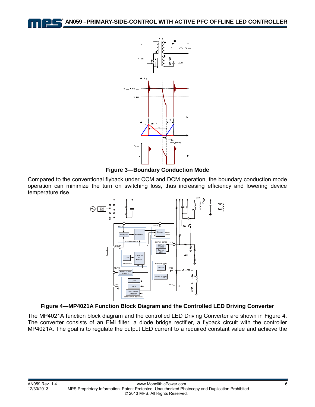



**Figure 3—Boundary Conduction Mode** 

Compared to the conventional flyback under CCM and DCM operation, the boundary conduction mode operation can minimize the turn on switching loss, thus increasing efficiency and lowering device temperature rise.



#### **Figure 4—MP4021A Function Block Diagram and the Controlled LED Driving Converter**

The MP4021A function block diagram and the controlled LED Driving Converter are shown in Figure 4. The converter consists of an EMI filter, a diode bridge rectifier, a flyback circuit with the controller MP4021A. The goal is to regulate the output LED current to a required constant value and achieve the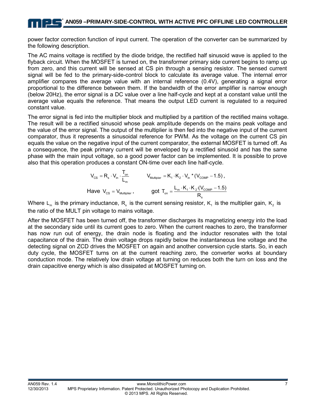power factor correction function of input current. The operation of the converter can be summarized by the following description.

The AC mains voltage is rectified by the diode bridge, the rectified half sinusoid wave is applied to the flyback circuit. When the MOSFET is turned on, the transformer primary side current begins to ramp up from zero, and this current will be sensed at CS pin through a sensing resistor. The sensed current signal will be fed to the primary-side-control block to calculate its average value. The internal error amplifier compares the average value with an internal reference (0.4V), generating a signal error proportional to the difference between them. If the bandwidth of the error amplifier is narrow enough (below 20Hz), the error signal is a DC value over a line half-cycle and kept at a constant value until the average value equals the reference. That means the output LED current is regulated to a required constant value.

The error signal is fed into the multiplier block and multiplied by a partition of the rectified mains voltage. The result will be a rectified sinusoid whose peak amplitude depends on the mains peak voltage and the value of the error signal. The output of the multiplier is then fed into the negative input of the current comparator, thus it represents a sinusoidal reference for PWM. As the voltage on the current CS pin equals the value on the negative input of the current comparator, the external MOSFET is turned off. As a consequence, the peak primary current will be enveloped by a rectified sinusoid and has the same phase with the main input voltage, so a good power factor can be implemented. It is possible to prove also that this operation produces a constant ON-time over each line half-cycle.

$$
V_{\text{cs}} = R_{\text{s}} \cdot V_{\text{in}} \cdot \frac{T_{\text{on}}}{L_{\text{m}}} \qquad V_{\text{Multiplier}} = K_{1} \cdot K_{2} \cdot V_{\text{in}} \cdot (V_{\text{COMP}} - 1.5),
$$
  
Have  $V_{\text{cs}} = V_{\text{Multiplier}}$ , 
$$
\qquad \qquad \text{got } T_{\text{on}} = \frac{L_{\text{m}} \cdot K_{1} \cdot K_{2} \cdot (V_{\text{COMP}} - 1.5)}{R_{\text{s}}}
$$

Where L<sub>m</sub> is the primary inductance, R<sub>s</sub> is the current sensing resistor, K<sub>1</sub> is the multiplier gain, K<sub>2</sub> is the ratio of the MULT pin voltage to mains voltage.

After the MOSFET has been turned off, the transformer discharges its magnetizing energy into the load at the secondary side until its current goes to zero. When the current reaches to zero, the transformer has now run out of energy, the drain node is floating and the inductor resonates with the total capacitance of the drain. The drain voltage drops rapidly below the instantaneous line voltage and the detecting signal on ZCD drives the MOSFET on again and another conversion cycle starts. So, in each duty cycle, the MOSFET turns on at the current reaching zero, the converter works at boundary conduction mode. The relatively low drain voltage at turning on reduces both the turn on loss and the drain capacitive energy which is also dissipated at MOSFET turning on.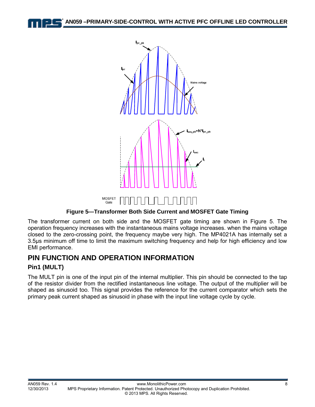**AN059 –PRIMARY-SIDE-CONTROL WITH ACTIVE PFC OFFLINE LED CONTROLLER** 



**Figure 5—Transformer Both Side Current and MOSFET Gate Timing**

The transformer current on both side and the MOSFET gate timing are shown in Figure 5. The operation frequency increases with the instantaneous mains voltage increases. when the mains voltage closed to the zero-crossing point, the frequency maybe very high. The MP4021A has internally set a 3.5µs minimum off time to limit the maximum switching frequency and help for high efficiency and low EMI performance.

# **PIN FUNCTION AND OPERATION INFORMATION**

Gate

#### **Pin1 (MULT)**

The MULT pin is one of the input pin of the internal multiplier. This pin should be connected to the tap of the resistor divider from the rectified instantaneous line voltage. The output of the multiplier will be shaped as sinusoid too. This signal provides the reference for the current comparator which sets the primary peak current shaped as sinusoid in phase with the input line voltage cycle by cycle.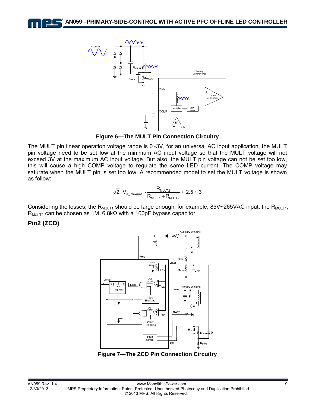

**Figure 6—The MULT Pin Connection Circuitry**

The MULT pin linear operation voltage range is 0~3V, for an universal AC input application, the MULT pin voltage need to be set low at the minimum AC input voltage so that the MULT voltage will not exceed 3V at the maximum AC input voltage. But also, the MULT pin voltage can not be set too low, this will cause a high COMP voltage to regulate the same LED current, The COMP voltage may saturate when the MULT pin is set too low. A recommended model to set the MULT voltage is shown as follow:

$$
\sqrt{2} \cdot V_{\text{in\_max(rms)}} \cdot \frac{R_{\text{MULT2}}}{R_{\text{MULT1}} + R_{\text{MULT2}}} \approx 2.5 \approx 3
$$

Considering the losses, the R<sub>MULT1</sub> should be large enough, for example, 85V~265VAC input, the R<sub>MULT1</sub>,  $R_{MULT2}$  can be chosen as 1M, 6.8k $\Omega$  with a 100pF bypass capacitor.

**Pin2 (ZCD)** 



**Figure 7—The ZCD Pin Connection Circuitry**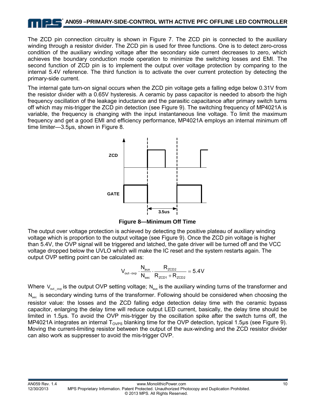### **AN059 –PRIMARY-SIDE-CONTROL WITH ACTIVE PFC OFFLINE LED CONTROLLER**

The ZCD pin connection circuitry is shown in Figure 7. The ZCD pin is connected to the auxiliary winding through a resistor divider. The ZCD pin is used for three functions. One is to detect zero-cross condition of the auxiliary winding voltage after the secondary side current decreases to zero, which achieves the boundary conduction mode operation to minimize the switching losses and EMI. The second function of ZCD pin is to implement the output over voltage protection by comparing to the internal 5.4V reference. The third function is to activate the over current protection by detecting the primary-side current.

The internal gate turn-on signal occurs when the ZCD pin voltage gets a falling edge below 0.31V from the resistor divider with a 0.65V hysteresis. A ceramic by pass capacitor is needed to absorb the high frequency oscillation of the leakage inductance and the parasitic capacitance after primary switch turns off which may mis-trigger the ZCD pin detection (see Figure 9). The switching frequency of MP4021A is variable, the frequency is changing with the input instantaneous line voltage. To limit the maximum frequency and get a good EMI and efficiency performance, MP4021A employs an internal minimum off time limiter—3.5μs, shown in Figure 8.



**Figure 8—Minimum Off Time** 

The output over voltage protection is achieved by detecting the positive plateau of auxiliary winding voltage which is proportion to the output voltage (see Figure 9). Once the ZCD pin voltage is higher than 5.4V, the OVP signal will be triggered and latched, the gate driver will be turned off and the VCC voltage dropped below the UVLO which will make the IC reset and the system restarts again. The output OVP setting point can be calculated as:

$$
V_{\text{out–ovp}}\cdot\frac{N_{\text{aux}}}{N_{\text{sec}}}\cdot\frac{R_{\text{ZCD2}}}{R_{\text{ZCD1}}+R_{\text{ZCD2}}}=5.4V
$$

Where  $V_{\text{out}}$  <sub>ovp</sub> is the output OVP setting voltage; N<sub>aux</sub> is the auxiliary winding turns of the transformer and N<sub>sec</sub> is secondary winding turns of the transformer. Following should be considered when choosing the resistor value: the losses and the ZCD falling edge detection delay time with the ceramic bypass capacitor, enlarging the delay time will reduce output LED current, basically, the delay time should be limited in 1.5μs. To avoid the OVP mis-trigger by the oscillation spike after the switch turns off, the MP4021A integrates an internal  $T_{\text{OVPS}}$  blanking time for the OVP detection, typical 1.5µs (see Figure 9). Moving the current-limiting resistor between the output of the aux-winding and the ZCD resistor divider can also work as suppresser to avoid the mis-trigger OVP.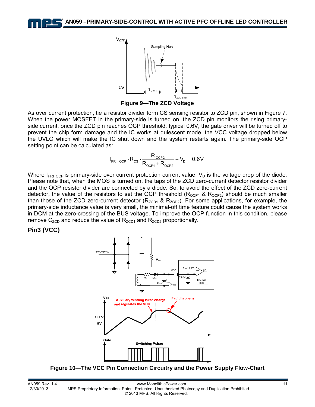

**Figure 9—The ZCD Voltage** 

As over current protection, tie a resistor divider form CS sensing resistor to ZCD pin, shown in Figure 7. When the power MOSFET in the primary-side is turned on, the ZCD pin monitors the rising primaryside current, once the ZCD pin reaches OCP threshold, typical 0.6V, the gate driver will be turned off to prevent the chip form damage and the IC works at quiescent mode, the VCC voltage dropped below the UVLO which will make the IC shut down and the system restarts again. The primary-side OCP setting point can be calculated as:

$$
I_{\text{PRI\_OCP}}\cdot R_{\text{CS}}\cdot\frac{R_{\text{OCP2}}}{R_{\text{OCP1}}+R_{\text{OCP2}}}-V_{\text{D}}=0.6V
$$

Where  $I_{PRI_{OCP}}$  is primary-side over current protection current value,  $V_D$  is the voltage drop of the diode. Please note that, when the MOS is turned on, the taps of the ZCD zero-current detector resistor divider and the OCP resistor divider are connected by a diode. So, to avoid the effect of the ZCD zero-current detector, the value of the resistors to set the OCP threshold ( $R_{OCP1}$  &  $R_{OCP2}$ ) should be much smaller than those of the ZCD zero-current detector ( $R_{ZCD1}$  &  $R_{ZCD2}$ ). For some applications, for example, the primary-side inductance value is very small, the minimal-off time feature could cause the system works in DCM at the zero-crossing of the BUS voltage. To improve the OCP function in this condition, please remove  $C_{ZCD}$  and reduce the value of  $R_{ZCD1}$  and  $R_{ZCD2}$  proportionally.

#### **Pin3 (VCC)**



**Figure 10—The VCC Pin Connection Circuitry and the Power Supply Flow-Chart**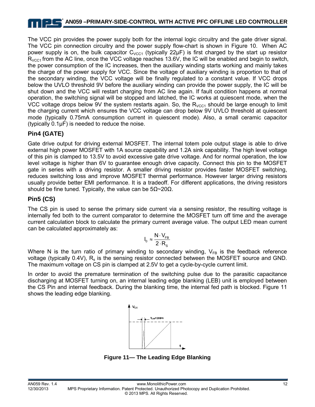# **AN059 –PRIMARY-SIDE-CONTROL WITH ACTIVE PFC OFFLINE LED CONTROLLER**

The VCC pin provides the power supply both for the internal logic circuitry and the gate driver signal. The VCC pin connection circuitry and the power supply flow-chart is shown in Figure 10. When AC power supply is on, the bulk capacitor  $C_{VCC1}$  (typically 22 $\mu$ F) is first charged by the start up resistor  $R_{VCG1}$  from the AC line, once the VCC voltage reaches 13.6V, the IC will be enabled and begin to switch, the power consumption of the IC increases, then the auxiliary winding starts working and mainly takes the charge of the power supply for VCC. Since the voltage of auxiliary winding is proportion to that of the secondary winding, the VCC voltage will be finally regulated to a constant value. If VCC drops below the UVLO threshold 9V before the auxiliary winding can provide the power supply, the IC will be shut down and the VCC will restart charging from AC line again. If fault condition happens at normal operation, the switching signal will be stopped and latched, the IC works at quiescent mode, when the VCC voltage drops below 9V the system restarts again. So, the  $R_{VCC1}$  should be large enough to limit the charging current which ensures the VCC voltage can drop below 9V UVLO threshold at quiescent mode (typically 0.75mA consumption current in quiescent mode). Also, a small ceramic capacitor (typically 0.1μF) is needed to reduce the noise.

#### **Pin4 (GATE)**

Gate drive output for driving external MOSFET. The internal totem pole output stage is able to drive external high power MOSFET with 1A source capability and 1.2A sink capability. The high level voltage of this pin is clamped to 13.5V to avoid excessive gate drive voltage. And for normal operation, the low level voltage is higher than 6V to guarantee enough drive capacity. Connect this pin to the MOSFET gate in series with a driving resistor. A smaller driving resistor provides faster MOSFET switching, reduces switching loss and improve MOSFET thermal performance. However larger driving resistors usually provide better EMI performance. It is a tradeoff. For different applications, the driving resistors should be fine tuned. Typically, the value can be  $5\Omega \sim 20\Omega$ .

#### **Pin5 (CS)**

The CS pin is used to sense the primary side current via a sensing resistor, the resulting voltage is internally fed both to the current comparator to determine the MOSFET turn off time and the average current calculation block to calculate the primary current average value. The output LED mean current can be calculated approximately as:

$$
I_0 \approx \frac{N \cdot V_{FB}}{2 \cdot R_s}
$$

Where N is the turn ratio of primary winding to secondary winding,  $V_{FB}$  is the feedback reference voltage (typically 0.4V),  $R_s$  is the sensing resistor connected between the MOSFET source and GND. The maximum voltage on CS pin is clamped at 2.5V to get a cycle-by-cycle current limit.

In order to avoid the premature termination of the switching pulse due to the parasitic capacitance discharging at MOSFET turning on, an internal leading edge blanking (LEB) unit is employed between the CS Pin and internal feedback. During the blanking time, the internal fed path is blocked. Figure 11 shows the leading edge blanking.



**Figure 11— The Leading Edge Blanking**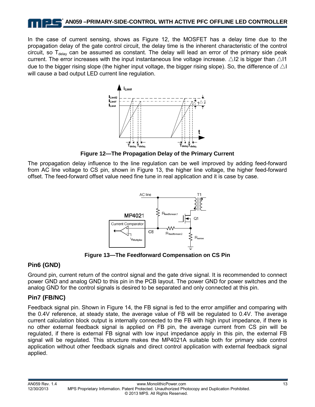In the case of current sensing, shows as Figure 12, the MOSFET has a delay time due to the propagation delay of the gate control circuit, the delay time is the inherent characteristic of the control circuit, so  $T_{delay}$  can be assumed as constant. The delay will lead an error of the primary side peak current. The error increases with the input instantaneous line voltage increase.  $\triangle$  12 is bigger than  $\triangle$  11 due to the bigger rising slope (the higher input voltage, the bigger rising slope). So, the difference of  $\triangle$ I will cause a bad output LED current line regulation.



**Figure 12—The Propagation Delay of the Primary Current** 

The propagation delay influence to the line regulation can be well improved by adding feed-forward from AC line voltage to CS pin, shown in Figure 13, the higher line voltage, the higher feed-forward offset. The feed-forward offset value need fine tune in real application and it is case by case.



**Figure 13—The Feedforward Compensation on CS Pin** 

#### **Pin6 (GND)**

Ground pin, current return of the control signal and the gate drive signal. It is recommended to connect power GND and analog GND to this pin in the PCB layout. The power GND for power switches and the analog GND for the control signals is desired to be separated and only connected at this pin.

## **Pin7 (FB/NC)**

Feedback signal pin. Shown in Figure 14, the FB signal is fed to the error amplifier and comparing with the 0.4V reference, at steady state, the average value of FB will be regulated to 0.4V. The average current calculation block output is internally connected to the FB with high input impedance, if there is no other external feedback signal is applied on FB pin, the average current from CS pin will be regulated, if there is external FB signal with low input impedance apply in this pin, the external FB signal will be regulated. This structure makes the MP4021A suitable both for primary side control application without other feedback signals and direct control application with external feedback signal applied.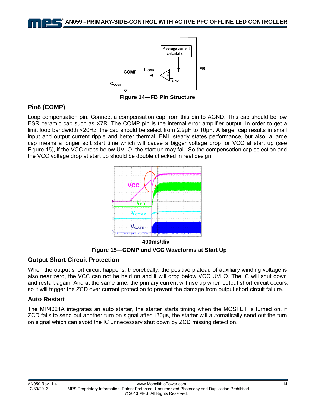



**Figure 14—FB Pin Structure** 

#### **Pin8 (COMP)**

Loop compensation pin. Connect a compensation cap from this pin to AGND. This cap should be low ESR ceramic cap such as X7R. The COMP pin is the internal error amplifier output. In order to get a limit loop bandwidth <20Hz, the cap should be select from 2.2µF to 10µF. A larger cap results in small input and output current ripple and better thermal, EMI, steady states performance, but also, a large cap means a longer soft start time which will cause a bigger voltage drop for VCC at start up (see Figure 15), if the VCC drops below UVLO, the start up may fail. So the compensation cap selection and the VCC voltage drop at start up should be double checked in real design.



**Figure 15—COMP and VCC Waveforms at Start Up** 

#### **Output Short Circuit Protection**

When the output short circuit happens, theoretically, the positive plateau of auxiliary winding voltage is also near zero, the VCC can not be held on and it will drop below VCC UVLO. The IC will shut down and restart again. And at the same time, the primary current will rise up when output short circuit occurs, so it will trigger the ZCD over current protection to prevent the damage from output short circuit failure.

#### **Auto Restart**

The MP4021A integrates an auto starter, the starter starts timing when the MOSFET is turned on, if ZCD fails to send out another turn on signal after 130µs, the starter will automatically send out the turn on signal which can avoid the IC unnecessary shut down by ZCD missing detection.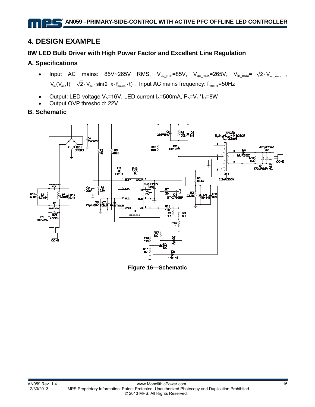# **4. DESIGN EXAMPLE**

#### **8W LED Bulb Driver with High Power Factor and Excellent Line Regulation**

#### **A. Specifications**

- Input AC mains: 85V~265V RMS,  $V_{ac,min} = 85V$ ,  $V_{ac,max} = 265V$ ,  $V_{in,max} = \sqrt{2} \cdot V_{ac,max}$  $V_{in}(V_{ac},t) = |\sqrt{2} \cdot V_{ac} \cdot sin(2 \cdot \pi \cdot f_{mains} \cdot t)|$ , Input AC mains frequency:  $f_{mains}$ =50Hz
- Output: LED voltage  $V_0$ =16V, LED current  $I_0$ =500mA,  $P_0=V_0*I_0=8W$
- Output OVP threshold: 22V

#### **B. Schematic**



**Figure 16—Schematic**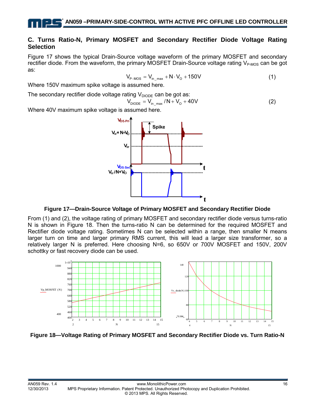#### **C. Turns Ratio-N, Primary MOSFET and Secondary Rectifier Diode Voltage Rating Selection**

Figure 17 shows the typical Drain-Source voltage waveform of the primary MOSFET and secondary rectifier diode. From the waveform, the primary MOSFET Drain-Source voltage rating  $V_{P\text{-MOS}}$  can be got as:

$$
V_{P-MOS} = V_{in \ \text{max}} + N \cdot V_{O} + 150V \tag{1}
$$

Where 150V maximum spike voltage is assumed here.

The secondary rectifier diode voltage rating  $V_{\text{DIODE}}$  can be got as:

$$
V_{\text{DIODE}} = V_{\text{in} \text{max}} / N + V_0 + 40V
$$
 (2)

Where 40V maximum spike voltage is assumed here.



**Figure 17—Drain-Source Voltage of Primary MOSFET and Secondary Rectifier Diode** 

From (1) and (2), the voltage rating of primary MOSFET and secondary rectifier diode versus turns-ratio N is shown in Figure 18. Then the turns-ratio N can be determined for the required MOSFET and Rectifier diode voltage rating. Sometimes N can be selected within a range, then smaller N means larger turn on time and larger primary RMS current, this will lead a larger size transformer, so a relatively larger N is preferred. Here choosing N=6, so 650V or 700V MOSFET and 150V, 200V schottky or fast recovery diode can be used.



**Figure 18—Voltage Rating of Primary MOSFET and Secondary Rectifier Diode vs. Turn Ratio-N**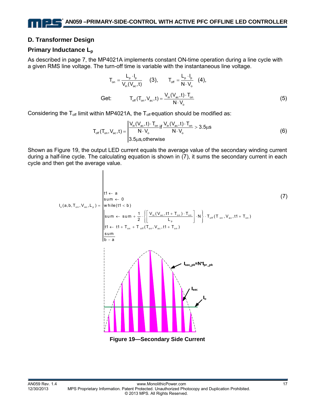#### **D. Transformer Design**

#### **Primary Inductance Lp**

As described in page 7, the MP4021A implements constant ON-time operation during a line cycle with a given RMS line voltage. The turn-off time is variable with the instantaneous line voltage.

$$
T_{on} = \frac{L_{p} \cdot I_{p}}{V_{in}(V_{ac}, t)}
$$
 (3), 
$$
T_{off} = \frac{L_{p} \cdot I_{p}}{N \cdot V_{o}}
$$
 (4),  
Get: 
$$
T_{off}(T_{on}, V_{ac}, t) = \frac{V_{in}(V_{ac}, t) \cdot T_{on}}{N \cdot V_{o}}
$$
 (5)

Considering the  $T_{off}$  limit within MP4021A, the  $T_{off}$  equation should be modified as:

 $\parallel$ 

$$
T_{\text{off}}(T_{\text{on}}, V_{\text{ac}}, t) = \begin{vmatrix} V_{\text{in}}(V_{\text{ac}}, t) \cdot T_{\text{on}} \\ N \cdot V_{\text{o}} & N \cdot V_{\text{o}} \end{vmatrix} \text{ if } \frac{V_{\text{in}}(V_{\text{ac}}, t) \cdot T_{\text{on}}}{N \cdot V_{\text{o}}} > 3.5 \mu s \tag{6}
$$

Shown as Figure 19, the output LED current equals the average value of the secondary winding current during a half-line cycle. The calculating equation is shown in (7), it sums the secondary current in each cycle and then get the average value.

o on ac p in ac on on off on ac on p on off on ac on t1 a sum 0 I (a,b,T , V ,L ) w hile(t1 b ) <sup>1</sup> V ( V , t1 T ) T su m su m N T (T , V , t1 T ) 2 L t1 t1 T T (T , V , t1 T ) sum b a ← ← = < ⎪ ⎪ ⎧ ⎫ ⎡ ⎤ + ⋅ ← +⋅ ⋅ ⋅ + ⎨ ⎬ ⎢ ⎥ ⎪ ⎪ ⎩ ⎭ ⎣ ⎦ ←+ + + − (7) **Figure 19—Secondary Side Current**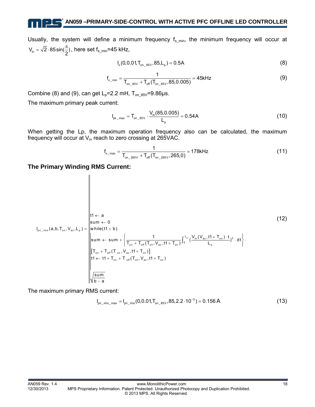Usually, the system will define a minimum frequency  $f_{s\_min}$ , the minimum frequency will occur at  $V_{\text{in}} = \sqrt{2} \cdot 85 \sin(\frac{\pi}{2})$ , here set f<sub>s\_min</sub>=45 kHz,

$$
I_o(0,0.01, T_{on\_85V}, 85, L_p) = 0.5A
$$
 (8)

$$
f_{s_{min}} = \frac{1}{T_{on_{s}}g_{s} + T_{off}(T_{on_{s}}g_{s}, 85, 0.005)} = 45kHz
$$
\n(9)

Combine (8) and (9), can get  $L_p=2.2$  mH,  $T_{on-85V}=9.86 \mu s$ .

The maximum primary peak current:

11 L

$$
I_{\text{pk\_max}} = T_{\text{on\_85V}} \cdot \frac{V_{\text{in}}(85, 0.005)}{L_{\text{p}}} = 0.54A
$$
 (10)

When getting the Lp, the maximum operation frequency also can be calculated, the maximum frequency will occur at  $V_{in}$  reach to zero crossing at 265VAC.

$$
f_{s_{\text{max}}} = \frac{1}{T_{\text{on}\_2 65 \vee} + T_{\text{off}}(T_{\text{on}\_2 65 \vee}, 265, 0)} = 178 \text{kHz}
$$
 (11)

**The Primary Winding RMS Current:** 

 $\overline{\phantom{a}}$ 

[ ] on pri \_ rms on ac p <sup>T</sup> in ac on <sup>2</sup> <sup>0</sup> on off on ac on p on off on ac on on off on ac on t1 a sum 0 I (a,b,T , V ,L ) w hile(t1 b) <sup>1</sup> V (V , t1 T ) t sum sum ( ) dt T T (T , V , t1 T ) L T T (T , V , t1 T ) t1 t1 T T (T , V , t1 T ) sum b a ← ← = < ⎧ ⎫ ⎪ ⎪ + ⋅ ← + ⋅⋅ ⎨ ⎬ ⎪ ⎪ + + ⎩ ⎭ + + ←+ + + − ∫ (12)

The maximum primary RMS current:

$$
I_{\text{pri\_ms\_max}} = I_{\text{pri\_rms}}(0, 0.01, T_{\text{on\_85V}}, 85, 2.2 \cdot 10^{-3}) = 0.156 \text{ A}
$$
 (13)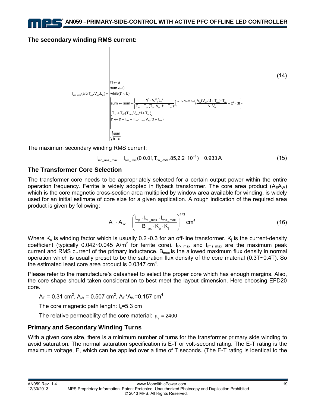#### **The secondary winding RMS current:**

$$
I_{\sec_{c}ms}(a,b,T_{\text{on}},V_{\text{ac}},L_{p}) = \begin{bmatrix} t1 \leftarrow a & & & & & & \\ 11 \leftarrow a & & & & & \\ 11 \leftarrow a & & & & \\ 11 \leftarrow a & & & & \\ 11 \leftarrow a & & & & \\ 11 \leftarrow a & & & & \\ 11 \leftarrow b & & & & \\ 11 \leftarrow b & & & & \\ 11 \leftarrow \text{sum} & & & & \\ 11 \leftarrow \text{sum} & & & & \\ 11 \leftarrow \text{sum} & & & & \\ 11 \leftarrow \text{sum} & & & & \\ 11 \leftarrow \text{sum} & & & & \\ 11 \leftarrow \text{sum} & & & & \\ 11 \leftarrow \text{sum} & & & & \\ 11 \leftarrow \text{sum} & & & & \\ 11 \leftarrow \text{sum} & & & & \\ 11 \leftarrow \text{sum} & & & & \\ 11 \leftarrow \text{sum} & & & & \\ 11 \leftarrow \text{sum} & & & & \\ 11 \leftarrow \text{sum} & & & & \\ 11 \leftarrow \text{sum} & & & & \\ 11 \leftarrow \text{sum} & & & & \\ 11 \leftarrow \text{sum} & & & & \\ 11 \leftarrow \text{sum} & & & & \\ 11 \leftarrow \text{sum} & & & & \\ 11 \leftarrow \text{sum} & & & & \\ 11 \leftarrow \text{sum} & & & & \\ 11 \leftarrow \text{sum} & & & & \\ 11 \leftarrow \text{sum} & & & & \\ 11 \leftarrow \text{sum} & & & & \\ 11 \leftarrow \text{sum} & & & & \\ 11 \leftarrow \text{sum} & & & & \\ 11 \leftarrow \text{sum} & & & & \\ 11 \leftarrow \text{sum} & & & & \\ 11 \leftarrow \text{sum} & & & & \\ 11 \leftarrow \text{sum} & & & & \\ 11 \leftarrow \text{sum} & & & & \\ 11 \leftarrow \text{sum} & & & & \\ 11 \leftarrow \text{sum} & & & & \\ 11 \leftarrow \text{sum} & & & & \\ 11 \leftarrow \text{sum} & & & & \\ 11 \leftarrow \text{sum} & & & & \\ 11 \leftarrow \text{sum} & & & & \\ 11 \leftarrow \text{sum} & & & & \\ 11 \leftarrow \text{sum} & & & & \\ 11 \leftarrow \text{sum} & & & & \\
$$

The maximum secondary winding RMS current:

$$
I_{\text{sec\_rms\_max}} = I_{\text{sec\_rms}}(0,0.01, T_{\text{on\_85V}}, 85, 2.2 \cdot 10^{-3}) = 0.933 \text{ A}
$$
 (15)

#### **The Transformer Core Selection**

The transformer core needs to be appropriately selected for a certain output power within the entire operation frequency. Ferrite is widely adopted in flyback transformer. The core area product  $(A<sub>E</sub>A<sub>W</sub>)$ which is the core magnetic cross-section area multiplied by window area available for winding, is widely used for an initial estimate of core size for a given application. A rough indication of the required area product is given by following:

$$
A_{E} \cdot A_{W} = \left(\frac{L_{p} \cdot I_{p_{k\_max}} \cdot I_{rms\_max}}{B_{max} \cdot K_{u} \cdot K_{j}}\right)^{4/3} \text{cm}^{4}
$$
(16)

Where  $\mathsf{K}_\mathsf{u}$  is winding factor which is usually 0.2~0.3 for an off-line transformer.  $\mathsf{K}_\mathsf{j}$  is the current-density coefficient (typically 0.042~0.045 A/m<sup>2</sup> for ferrite core). I<sub>Pk\_max</sub> and I<sub>rms\_max</sub> are the maximum peak current and RMS current of the primary inductance.  $B_{\text{max}}$  is the allowed maximum flux density in normal operation which is usually preset to be the saturation flux density of the core material (0.3T~0.4T). So the estimated least core area product is  $0.0347 \text{ cm}^4$ .

Please refer to the manufacture's datasheet to select the proper core which has enough margins. Also, the core shape should taken consideration to best meet the layout dimension. Here choosing EFD20 core.

 $A_E = 0.31$  cm<sup>2</sup>,  $A_W = 0.507$  cm<sup>2</sup>,  $A_E^* A_W = 0.157$  cm<sup>4</sup>

The core magnetic path length:  $I_c = 5.3$  cm

The relative permeability of the core material:  $\mu = 2400$ 

#### **Primary and Secondary Winding Turns**

With a given core size, there is a minimum number of turns for the transformer primary side winding to avoid saturation. The normal saturation specification is E-T or volt-second rating. The E-T rating is the maximum voltage, E, which can be applied over a time of T seconds. (The E-T rating is identical to the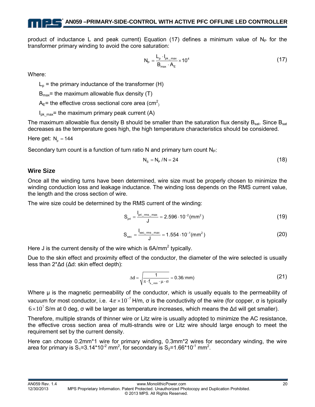product of inductance L and peak current) Equation (17) defines a minimum value of  $N_P$  for the transformer primary winding to avoid the core saturation:

$$
N_{\rm P} = \frac{L_{\rm p} \cdot I_{\rm pk\_max}}{B_{\rm max} \cdot A_{\rm E}} \times 10^4 \tag{17}
$$

Where:

 $L_p$  = the primary inductance of the transformer (H)

 $B_{\text{max}}$ = the maximum allowable flux density (T)

 $A_{E}$ = the effective cross sectional core area (cm<sup>2</sup>)

 $I_{\text{pk max}}$ = the maximum primary peak current (A)

The maximum allowable flux density B should be smaller than the saturation flux density  $B_{sat}$ . Since  $B_{sat}$ decreases as the temperature goes high, the high temperature characteristics should be considered.

Here get:  $N<sub>n</sub> = 144$ 

Secondary turn count is a function of turn ratio N and primary turn count  $N_P$ :

$$
N_{\rm s} = N_{\rm p} / N = 24 \tag{18}
$$

#### **Wire Size**

Once all the winding turns have been determined, wire size must be properly chosen to minimize the winding conduction loss and leakage inductance. The winding loss depends on the RMS current value, the length and the cross section of wire.

The wire size could be determined by the RMS current of the winding:

$$
S_{\text{pri}} = \frac{I_{\text{pri\_rms\_max}}}{J} = 2.596 \cdot 10^{-2} \, (\text{mm}^2)
$$
 (19)

$$
S_{\text{sec}} = \frac{I_{\text{sec\_ms\_max}}}{J} = 1.554 \cdot 10^{-1} \text{(mm}^2)
$$
 (20)

Here J is the current density of the wire which is  $6A/mm^2$  typically.

Due to the skin effect and proximity effect of the conductor, the diameter of the wire selected is usually less than 2\*Δd (Δd: skin effect depth):

$$
\Delta d = \sqrt{\frac{1}{\pi \cdot f_{s_{\min}} \cdot \mu \cdot \sigma}} = 0.36 \text{(mm)}
$$
 (21)

Where μ is the magnetic permeability of the conductor, which is usually equals to the permeability of vacuum for most conductor, i.e.  $4\pi \times 10^{-7}$  H/m, σ is the conductivity of the wire (for copper, σ is typically  $6\times10^7$  S/m at 0 deg, σ will be larger as temperature increases, which means the Δd will get smaller).

Therefore, multiple strands of thinner wire or Litz wire is usually adopted to minimize the AC resistance, the effective cross section area of multi-strands wire or Litz wire should large enough to meet the requirement set by the current density.

Here can choose 0.2mm\*1 wire for primary winding, 0.3mm\*2 wires for secondary winding, the wire area for primary is  $S_1 = 3.14 \times 10^{-2}$  mm<sup>2</sup>, for secondary is  $S_2 = 1.66 \times 10^{-1}$  mm<sup>2</sup>.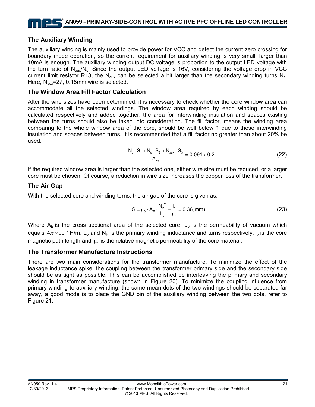#### **The Auxiliary Winding**

The auxiliary winding is mainly used to provide power for VCC and detect the current zero crossing for boundary mode operation, so the current requirement for auxiliary winding is very small, larger than 10mA is enough. The auxiliary winding output DC voltage is proportion to the output LED voltage with the turn ratio of  $N_{\text{aux}}/N_{\text{s}}$ . Since the output LED voltage is 16V, considering the voltage drop in VCC current limit resistor R13, the N<sub>aux</sub> can be selected a bit larger than the secondary winding turns N<sub>s</sub>. Here, N<sub>aux</sub>=27, 0.18mm wire is selected.

#### **The Window Area Fill Factor Calculation**

After the wire sizes have been determined, it is necessary to check whether the core window area can accommodate all the selected windings. The window area required by each winding should be calculated respectively and added together, the area for interwinding insulation and spaces existing between the turns should also be taken into consideration. The fill factor, means the winding area comparing to the whole window area of the core, should be well below 1 due to these interwinding insulation and spaces between turns. It is recommended that a fill factor no greater than about 20% be used.

$$
\frac{N_{p} \cdot S_{1} + N_{s} \cdot S_{2} + N_{aux} \cdot S_{3}}{A_{w}} = 0.091 < 0.2
$$
\n(22)

If the required window area is larger than the selected one, either wire size must be reduced, or a larger core must be chosen. Of course, a reduction in wire size increases the copper loss of the transformer.

#### **The Air Gap**

With the selected core and winding turns, the air gap of the core is given as:

$$
G = \mu_0 \cdot A_E \cdot \frac{N_p^2}{L_p} - \frac{I_c}{\mu_r} = 0.36 \, \text{(mm)}
$$
 (23)

Where  $A_E$  is the cross sectional area of the selected core,  $\mu_0$  is the permeability of vacuum which equals 4 $\pi$  × 10<sup>-7</sup> H/m. L<sub>p</sub> and N<sub>P</sub> is the primary winding inductance and turns respectively, I<sub>c</sub> is the core magnetic path length and  $\mu$  is the relative magnetic permeability of the core material.

#### **The Transformer Manufacture Instructions**

There are two main considerations for the transformer manufacture. To minimize the effect of the leakage inductance spike, the coupling between the transformer primary side and the secondary side should be as tight as possible. This can be accomplished be interleaving the primary and secondary winding in transformer manufacture (shown in Figure 20). To minimize the coupling influence from primary winding to auxiliary winding, the same mean dots of the two windings should be separated far away, a good mode is to place the GND pin of the auxiliary winding between the two dots, refer to Figure 21.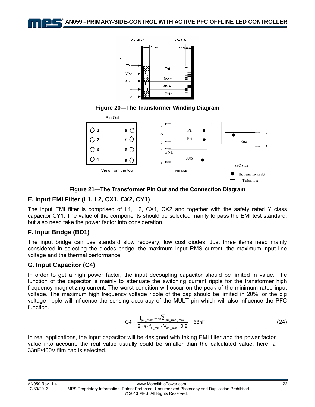**AN059 –PRIMARY-SIDE-CONTROL WITH ACTIVE PFC OFFLINE LED CONTROLLER** 



#### **Figure 20—The Transformer Winding Diagram**





#### **E. Input EMI Filter (L1, L2, CX1, CX2, CY1)**

The input EMI filter is comprised of L1, L2, CX1, CX2 and together with the safety rated Y class capacitor CY1. The value of the components should be selected mainly to pass the EMI test standard, but also need take the power factor into consideration.

#### **F. Input Bridge (BD1)**

The input bridge can use standard slow recovery, low cost diodes. Just three items need mainly considered in selecting the diodes bridge, the maximum input RMS current, the maximum input line voltage and the thermal performance.

#### **G. Input Capacitor (C4)**

In order to get a high power factor, the input decoupling capacitor should be limited in value. The function of the capacitor is mainly to attenuate the switching current ripple for the transformer high frequency magnetizing current. The worst condition will occur on the peak of the minimum rated input voltage. The maximum high frequency voltage ripple of the cap should be limited in 20%, or the big voltage ripple will influence the sensing accuracy of the MULT pin which will also influence the PFC function.

$$
C4 \approx \frac{I_{\text{pk\_max}} - \sqrt{2}I_{\text{pri\_rms\_max}}}{2 \cdot \pi \cdot f_{\text{s\_min}} \cdot V_{\text{ac\_min}} \cdot 0.2} = 68nF
$$
\n(24)

In real applications, the input capacitor will be designed with taking EMI filter and the power factor value into account, the real value usually could be smaller than the calculated value, here, a 33nF/400V film cap is selected.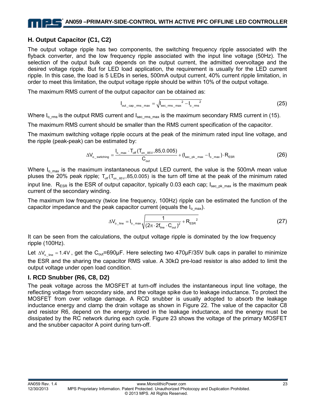# **AN059 –PRIMARY-SIDE-CONTROL WITH ACTIVE PFC OFFLINE LED CONTROLLER**

#### **H. Output Capacitor (C1, C2)**

The output voltage ripple has two components, the switching frequency ripple associated with the flyback converter, and the low frequency ripple associated with the input line voltage (50Hz). The selection of the output bulk cap depends on the output current, the admitted overvoltage and the desired voltage ripple. But for LED load application, the requirement is usually for the LED current ripple. In this case, the load is 5 LEDs in series, 500mA output current, 40% current ripple limitation, in order to meet this limitation, the output voltage ripple should be within 10% of the output voltage.

The maximum RMS current of the output capacitor can be obtained as:

$$
I_{\text{out\_cap\_ms\_max}} = \sqrt{I_{\text{sec\_ms\_max}}^2 - I_{\text{o\_ms}}^2}
$$
 (25)

Where  $I_{\text{o} \text{rms}}$  is the output RMS current and  $I_{\text{sec} \text{rms}}$  max is the maximum secondary RMS current in (15).

The maximum RMS current should be smaller than the RMS current specification of the capacitor.

The maximum switching voltage ripple occurs at the peak of the minimum rated input line voltage, and the ripple (peak-peak) can be estimated by:

$$
\Delta V_{o\_switching} = \frac{I_{o\_max} \cdot T_{\text{off}}(T_{\text{on}\_85\vee}, 85, 0.005)}{C_{\text{out}}} + (I_{\text{sec}\_\text{pk}\_\text{max}} - I_{o\_max}) \cdot R_{\text{ESR}} \tag{26}
$$

Where  $I_{o,max}$  is the maximum instantaneous output LED current, the value is the 500mA mean value pluses the 20% peak ripple;  $T_{off}(T_{on 85V},85,0.005)$  is the turn off time at the peak of the minimum rated input line.  $R_{FSR}$  is the ESR of output capacitor, typically 0.03 each cap;  $I_{SPC-R}$  max is the maximum peak current of the secondary winding.

The maximum low frequency (twice line frequency, 100Hz) ripple can be estimated the function of the capacitor impedance and the peak capacitor current (equals the  $I_{o,max}$ ).

$$
\Delta V_{o\_line} = I_{o\_max} \sqrt{\frac{1}{\left(2\pi \cdot 2f_{line} \cdot C_{out}\right)^{2}} + R_{ESR}^{2}}
$$
(27)

It can be seen from the calculations, the output voltage ripple is dominated by the low frequency ripple (100Hz).

Let  $\Delta V_{\text{o line}} = 1.4V$ , get the C<sub>out</sub>=690µF. Here selecting two 470µF/35V bulk caps in parallel to minimize the ESR and the sharing the capacitor RMS value. A 30kΩ pre-load resistor is also added to limit the output voltage under open load condition.

#### **I. RCD Snubber (R6, C8, D2)**

The peak voltage across the MOSFET at turn-off includes the instantaneous input line voltage, the reflecting voltage from secondary side, and the voltage spike due to leakage inductance. To protect the MOSFET from over voltage damage. A RCD snubber is usually adopted to absorb the leakage inductance energy and clamp the drain voltage as shown in Figure 22. The value of the capacitor C8 and resistor R6, depend on the energy stored in the leakage inductance, and the energy must be dissipated by the RC network during each cycle. Figure 23 shows the voltage of the primary MOSFET and the snubber capacitor A point during turn-off.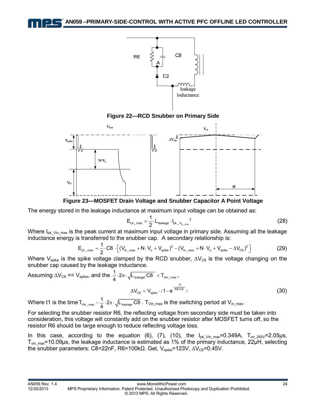

**Figure 22—RCD Snubber on Primary Side** 



**Figure 23—MOSFET Drain Voltage and Snubber Capacitor A Point Voltage** 

The energy stored in the leakage inductance at maximum input voltage can be obtained as:

$$
E_{Lk\_max} = \frac{1}{2} \cdot L_{\text{leakage}} \cdot I_{pk\_V_{in\_max}}^2 \tag{28}
$$

Where  $I_{pk\_Vin\_max}$  is the peak current at maximum input voltage in primary side. Assuming all the leakage inductance energy is transferred to the snubber cap. A secondary relationship is:

$$
E_{Lk_{\text{max}}} = \frac{1}{2} \cdot C8 \cdot \left[ (V_{in_{\text{max}}} + N \cdot V_{o} + V_{spike})^{2} - (V_{in_{\text{max}}} + N \cdot V_{o} + V_{spike} - \Delta V_{CB})^{2} \right]
$$
(29)

Where V<sub>spike</sub> is the spike voltage clamped by the RCD snubber,  $\Delta V_{C8}$  is the voltage changing on the snubber cap caused by the leakage inductance.

Assuming 
$$
\Delta V_{cs} \ll V_{spike}
$$
, and the  $\frac{1}{4} \cdot 2\pi \cdot \sqrt{L_{leakage} \cdot \text{CB}} < T_{\text{vin\_max}}$ ,  

$$
\Delta V_{cs} = V_{spkie} \cdot (1 - e^{\frac{t1}{R6 \cdot \text{CB}}})
$$
(30)

Where t1 is the time  $T_{\rm Vin\_max}-\frac{1}{4}\cdot 2\pi\cdot\sqrt{L_{\rm leakage}\cdot {\rm C8}}$  .  $T_{\rm Vin\_max}$  is the switching period at  $\rm V_{in\_max}.$ 

For selecting the snubber resistor R6, the reflecting voltage from secondary side must be taken into consideration, this voltage will constantly add on the snubber resistor after MOSFET turns off, so the resistor R6 should be large enough to reduce reflecting voltage loss.

In this case, according to the equation (6), (7), (10), the  $I_{\text{pk Vin max}}=0.349A$ ,  $T_{\text{on }265V}=2.05\mu s$ ,  $T_{vin,max}$ =10.09μs, the leakage inductance is estimated as 1% of the primary inductance, 22μH, selecting the snubber parameters: C8=22nF, R6=100kΩ. Get, V<sub>spike</sub>=123V,  $\Delta V_{Cs}$ =0.45V.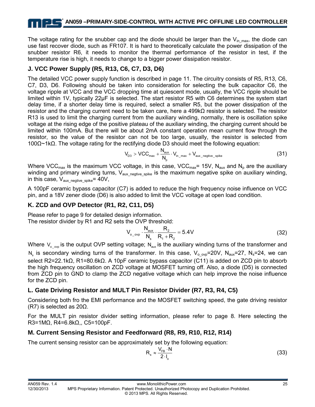The voltage rating for the snubber cap and the diode should be larger than the  $V_{in,max}$ , the diode can use fast recover diode, such as FR107. It is hard to theoretically calculate the power dissipation of the snubber resistor R6, it needs to monitor the thermal performance of the resistor in test, if the temperature rise is high, it needs to change to a bigger power dissipation resistor.

#### **J. VCC Power Supply (R5, R13, C6, C7, D3, D6)**

The detailed VCC power supply function is described in page 11. The circuitry consists of R5, R13, C6, C7, D3, D6. Following should be taken into consideration for selecting the bulk capacitor C6, the voltage ripple at VCC and the VCC dropping time at quiescent mode, usually, the VCC ripple should be limited within 1V, typically 22μF is selected. The start resistor R5 with C6 determines the system start delay time, if a shorter delay time is required, select a smaller R5, but the power dissipation of the resistor and the charging current need to be taken care, here a 499kΩ resistor is selected. The resistor R13 is used to limit the charging current from the auxiliary winding, normally, there is oscillation spike voltage at the rising edge of the positive plateau of the auxiliary winding, the charging current should be limited within 100mA. But there will be about 2mA constant operation mean current flow through the resistor, so the value of the resistor can not be too large, usually, the resistor is selected from 100Ω~1kΩ. The voltage rating for the rectifying diode D3 should meet the following equation:

$$
V_{D3} > VCC_{max} + \frac{N_{aux}}{N_p} \cdot V_{in\_max} + V_{aux\_negative\_spike}
$$
 (31)

Where VCC<sub>max</sub> is the maximum VCC voltage, in this case, VCC<sub>max</sub>= 15V, N<sub>aux</sub> and N<sub>p</sub> are the auxiliary winding and primary winding turns,  $V_{\text{aux negative spike}}$  is the maximum negative spike on auxiliary winding, in this case,  $V_{\text{aux} \text{ negative} \text{ spike}} = 40V$ ,

A 100pF ceramic bypass capacitor (C7) is added to reduce the high frequency noise influence on VCC pin, and a 18V zener diode (D6) is also added to limit the VCC voltage at open load condition.

#### **K. ZCD and OVP Detector (R1, R2, C11, D5)**

Please refer to page 9 for detailed design information. The resistor divider by R1 and R2 sets the OVP threshold:

$$
V_{o_{o}^{(0)}} \cdot \frac{N_{\text{aux}}}{N_{\text{s}}} \cdot \frac{R_2}{R_1 + R_2} = 5.4V
$$
 (32)

Where  $V_{\text{o}}$  <sub>ovp</sub> is the output OVP setting voltage; N<sub>aux</sub> is the auxiliary winding turns of the transformer and N<sub>s</sub> is secondary winding turns of the transformer. In this case, V<sub>o ovp</sub>=20V, N<sub>aux</sub>=27, N<sub>s</sub>=24, we can select R2=22.1kΩ, R1=80.6kΩ. A 10pF ceramic bypass capacitor (C11) is added on ZCD pin to absorb the high frequency oscillation on ZCD voltage at MOSFET turning off. Also, a diode (D5) is connected from ZCD pin to GND to clamp the ZCD negative voltage which can help improve the noise influence for the ZCD pin.

#### **L. Gate Driving Resistor and MULT Pin Resistor Divider (R7, R3, R4, C5)**

Considering both fro the EMI performance and the MOSFET switching speed, the gate driving resistor (R7) is selected as 20Ω.

For the MULT pin resistor divider setting information, please refer to page 8. Here selecting the R3=1MΩ, R4=6.8kΩ,, C5=100pF.

#### **M. Current Sensing Resistor and Feedforward (R8, R9, R10, R12, R14)**

The current sensing resistor can be approximately set by the following equation:

$$
R_s \approx \frac{V_{FB} \cdot N}{2 \cdot I_o} \tag{33}
$$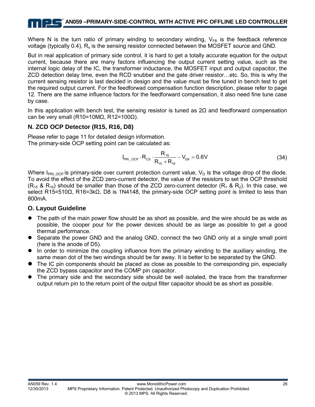Where N is the turn ratio of primary winding to secondary winding,  $V_{FB}$  is the feedback reference voltage (typically 0.4), Rs is the sensing resistor connected between the MOSFET source and GND.

But in real application of primary side control, it is hard to get a totally accurate equation for the output current, because there are many factors influencing the output current setting value, such as the internal logic delay of the IC, the transformer inductance, the MOSFET input and output capacitor, the ZCD detection delay time, even the RCD snubber and the gate driver resistor…etc. So, this is why the current sensing resistor is last decided in design and the value must be fine tuned in bench test to get the required output current. For the feedforwad compensation function description, please refer to page 12. There are the same influence factors for the feedforward compensation, it also need fine tune case by case.

In this application with bench test, the sensing resistor is tuned as  $2\Omega$  and feedforward compensation can be very small (R10=10MΩ, R12=100Ω).

#### **N. ZCD OCP Detector (R15, R16, D8)**

Please refer to page 11 for detailed design information. The primary-side OCP setting point can be calculated as:

$$
I_{PRI\_OCP} \cdot R_{CS} \cdot \frac{R_{16}}{R_{15} + R_{16}} - V_{D8} = 0.6V
$$
 (34)

Where  $I_{PRI_{OCP}}$  is primary-side over current protection current value,  $V_D$  is the voltage drop of the diode. To avoid the effect of the ZCD zero-current detector, the value of the resistors to set the OCP threshold  $(R_{15}$  &  $R_{16})$  should be smaller than those of the ZCD zero-current detector  $(R_1 \& R_2)$ . In this case, we select R15=510Ω, R16=3kΩ, D8 is 1N4148, the primary-side OCP setting point is limited to less than 800mA.

#### **O. Layout Guideline**

- The path of the main power flow should be as short as possible, and the wire should be as wide as possible, the cooper pour for the power devices should be as large as possible to get a good thermal performance.
- Separate the power GND and the analog GND, connect the two GND only at a single small point (here is the anode of D5).
- $\bullet$  In order to minimize the coupling influence from the primary winding to the auxiliary winding, the same mean dot of the two windings should be far away. It is better to be separated by the GND.
- $\bullet$  The IC pin components should be placed as close as possible to the corresponding pin, especially the ZCD bypass capacitor and the COMP pin capacitor.
- The primary side and the secondary side should be well isolated, the trace from the transformer output return pin to the return point of the output filter capacitor should be as short as possible.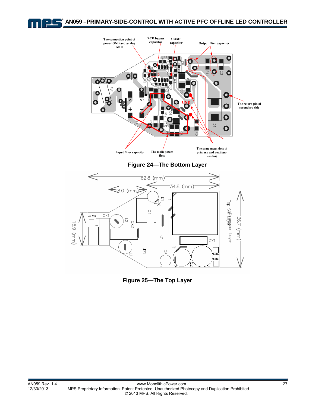



**Figure 25—The Top Layer**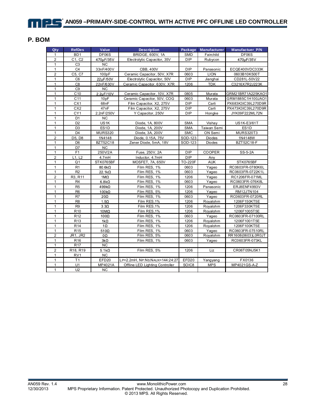#### **P. BOM**

| Qty            | <b>RefDes</b>                   | Value                | <b>Description</b>              | Package        | <b>Manufacturer</b> | <b>Manufactuer P/N</b> |
|----------------|---------------------------------|----------------------|---------------------------------|----------------|---------------------|------------------------|
| $\mathbf{1}$   | BD <sub>1</sub>                 | DF06S                | <b>BRIDGE, 600V, 1A</b>         | <b>SMD</b>     | Fairchild           | DF06S                  |
| $\mathbf 2$    | C1, C2                          | 470µF/35V            | Electrolytic Capacitor, 35V     | <b>DIP</b>     | Rubycon             | 470µF/35V              |
| $\mathbf{1}$   | C <sub>3</sub>                  | <b>NC</b>            |                                 |                |                     |                        |
| 1              | C <sub>4</sub>                  | 33nF/400V            | CBB, 400V                       | <b>DIP</b>     | Panasonic           | ECQE400VDC333K         |
| $\overline{2}$ | C5, C7                          | 100pF                | Ceramic Capacitor, 50V, X7R     | 0603           | <b>LION</b>         | 0603B10K500T           |
| $\overline{1}$ | C <sub>6</sub>                  | 22µF/50V             | Electrolytic Capacitor, 50V     | DIP            | Jianghai            | CD281L-50V22           |
| 1              | C <sub>8</sub>                  | 22nF/630V            | Ceramic Capacitor, 630V, X7R    | 1206           | <b>TDK</b>          | C3216X7R2J223K         |
| 1              | C <sub>9</sub>                  | NC                   |                                 |                |                     |                        |
| $\mathbf{1}$   | C <sub>10</sub>                 | 2.2µF/10V            | Ceramic Capacitor, 10V, X7R     | 0805           | Murata              | GRM21BR71A225KAO1      |
| 1              | C <sub>11</sub>                 | 10pF                 | Ceramic Capacitor, 50V, COG     | 0603           | Murata              | GRM1885C1H100JAO1      |
| $\mathbf{1}$   | CX1                             | 68nF                 | Film Capacitor, X2, 275V        | <b>DIP</b>     | Carli               | PX683K3IC39L270D9R     |
| $\mathbf{1}$   | $\overline{CX2}$                | 47nF                 | Film Capacitor, X2, 275V        | DIP            | Carli               | PX473K3IC39L270D9R     |
| 1              | CY1                             | 2.2nF/250V           | Y Capacitor, 250V               | DIP            | Hongke              | JYK09F222ML72N         |
| $\mathbf{1}$   | D <sub>1</sub>                  | <b>NC</b>            |                                 |                |                     |                        |
| 1              | D <sub>2</sub>                  | US1K                 | Diode, 1A, 800V                 | <b>SMA</b>     | Vishay              | US1K-E3/61T            |
| $\mathbf{1}$   | D <sub>3</sub>                  | ES <sub>1</sub> D    | Diode, 1A, 200V                 | <b>SMA</b>     | Taiwan Semi         | ES <sub>1</sub> D      |
| $\mathbf{1}$   | $\overline{D4}$                 | <b>MURS320</b>       | Diode, 3A, 200V                 | <b>SMC</b>     | ON Semi             | <b>MURS320T3</b>       |
| $\overline{2}$ | D <sub>5</sub> , D <sub>8</sub> | 1N4148               | Diode, 0.15A, 75V               | SOD-123        | <b>Diodes</b>       | 1N4148W                |
| 1              | D <sub>6</sub>                  | BZT52C18             | Zener Diode, 5mA, 18V           | SOD-123        | Diodes              | BZT52C18-F             |
| $\mathbf{1}$   | D7                              | <b>NC</b>            |                                 |                |                     |                        |
| $\mathbf{1}$   | F <sub>1</sub>                  | 250V/2A              | Fuse, 250V, 2A                  | DIP            | COOPER              | SS-5-2A                |
| $\overline{2}$ | L1, L2                          | 4.7 <sub>mH</sub>    | Inductor, 4.7mH                 | <b>DIP</b>     | Any                 |                        |
| $\mathbf{1}$   | Q <sub>1</sub>                  | STK0765BF            | MOSFET, 7A, 650V                | <b>TO-220F</b> | <b>AUK</b>          | STK0765BF              |
| $\mathbf{1}$   | R <sub>1</sub>                  | 80.6kΩ               | Film RES, 1%                    | 0603           | Yageo               | RC0603FR-0780K6L       |
| $\mathbf{1}$   | R <sub>2</sub>                  | 22 1kΩ               | Film RES, 1%                    | 0603           | Yageo               | RC0603FR-0722K1L       |
| $\mathbf 2$    | R3, R11                         | $1M\Omega$           | Film RES, 1%                    | 1206           | Yageo               | RC1206FR-071ML         |
| $\mathbf{1}$   | R <sub>4</sub>                  | $6.8k\Omega$         | Film RES, 1%                    | 0603           | Yageo               | RC0603FR-076K8L        |
| $\mathbf{1}$   | R <sub>5</sub>                  | $499k\Omega$         | Film RES, 1%                    | 1206           | Panasonic           | ERJ8ENF4993V           |
| $\mathbf{1}$   | R <sub>6</sub>                  | $100k\Omega$         | Film RES, 5%                    | 1206           | Yageo               | RM12JTN104             |
| $\mathbf{1}$   | R7                              | $20\Omega$           | Film RES, 1%                    | 0603           | Yageo               | RC0603FR-0720RL        |
| $\mathbf{1}$   | R <sub>8</sub>                  | $1.5\Omega$          | Film RES, 1%                    | 1206           | Royalohm            | 1206F150KT5E           |
| $\mathbf{1}$   | R <sub>9</sub>                  | $3.3\Omega$          | Film RES, 1%                    | 1206           | Royalohm            | 1206F330KT5E           |
| $\mathbf{1}$   | R <sub>10</sub>                 | $10\,\text{M}\Omega$ | Film RES, 1%                    | 1206           | Royalohm            | 1206F1005T5E           |
| $\mathbf{1}$   | R <sub>12</sub>                 | $100\Omega$          | Film RES, 1%                    | 0603           | Yageo               | RC0603FR-07100RL       |
| $\mathbf{1}$   | R <sub>13</sub>                 | $1k\Omega$           | Film RES, 1%                    | 1206           | Royalohm            | 1206F1001T5E           |
| 1              | R <sub>14</sub>                 | $1\Omega$            | Film RES, 1%                    | 1206           | Royalohm            | 1206F100KT5E           |
| $\mathbf{1}$   | R <sub>15</sub>                 | $510\Omega$          | Film RES, 1%                    | 0603           | Yageo               | RC0603FR-07510RL       |
| $\overline{2}$ | <b>JR1, JR2</b>                 | 0Ω                   | Film RES, 5%                    | 0603           | Royalohm            | RR1608(0603)L0R0JT     |
| $\mathbf{1}$   | R <sub>16</sub>                 | $3k\Omega$           | Film RES, 1%                    | 0603           | Yageo               | RC0603FR-073KL         |
| $\mathbf{1}$   | <b>R17</b>                      | NC                   |                                 |                |                     |                        |
| $\overline{2}$ | R18, R19                        | $5.1k\Omega$         | Film RES, 5%                    | 1206           | Liz                 | CR06T05NJ5K1           |
| $\mathbf{1}$   | RV1                             | <b>NC</b>            |                                 |                |                     |                        |
| $\mathbf{1}$   | T1                              | EFD20                | LP=2.2mH, NP:NS:NAUX=144:24:27  | EFD20          | Yangyang            | FX0136                 |
| $\mathbf{1}$   | U1                              | MP4021A              | Offline LED Lighting Controller | SOIC8          | <b>MPS</b>          | MP4021GS-A-Z           |
| $\mathbf{1}$   | U2                              | <b>NC</b>            |                                 |                |                     |                        |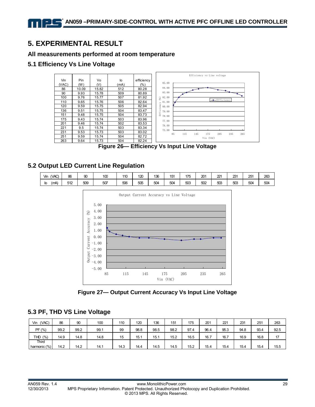# **5. EXPERIMENTAL RESULT**

#### **All measurements performed at room temperature**

#### **5.1 Efficiency Vs Line Voltage**



**Figure 26— Efficiency Vs Input Line Voltage** 

#### **5.2 Output LED Current Line Regulation**

| VAC)<br>Vin | 86  | $\sim$<br>ວບ    | 10 <sup>c</sup> | 110 | 120 | 136 | 151 | 175 | 20 <sup>7</sup> | $\sim$<br>" | つつ~<br>້ | 251 | 263 |
|-------------|-----|-----------------|-----------------|-----|-----|-----|-----|-----|-----------------|-------------|----------|-----|-----|
| (mA)<br>י   | 512 | <b>EOC</b><br>ဿ | 507             | 506 | 505 | 504 | 504 | 503 | 502             | 503         | 503      | 504 | 504 |



**Figure 27— Output Current Accuracy Vs Input Line Voltage** 

#### **5.3 PF, THD VS Line Voltage**

| (VAC)<br>Vin | 86   | 90   | 100  | 110  | 120  | 136  | 151  | 175  | 201  | 221  | 231  | 251  | 263  |
|--------------|------|------|------|------|------|------|------|------|------|------|------|------|------|
| PF(%)        | 99.2 | 99.2 | 99.1 | 99   | 98.8 | 98.5 | 98.2 | 97.4 | 96.4 | 95.3 | 94.8 | 93.4 | 92.5 |
| (% )<br>THD  | 14.9 | 14.8 | 14.8 | 15   | 15.1 | 15.1 | 15.2 | 16.5 | 16.7 | 16.7 | 16.9 | 16.8 | 17   |
| Third        |      |      |      |      |      |      |      |      |      |      |      |      |      |
| harmonic (%) | 14.2 | 14.2 | 14.1 | 14.3 | 14.4 | 14.5 | 14.5 | 15.2 | 15.4 | 15.4 | 15.4 | 15.4 | 15.5 |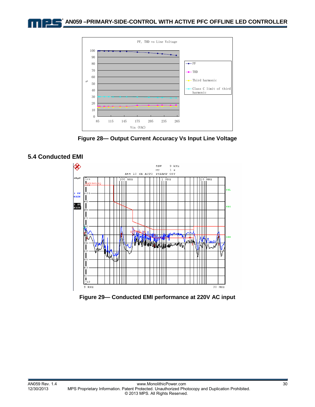

**Figure 28— Output Current Accuracy Vs Input Line Voltage** 



**Figure 29— Conducted EMI performance at 220V AC input** 

#### **5.4 Conducted EMI**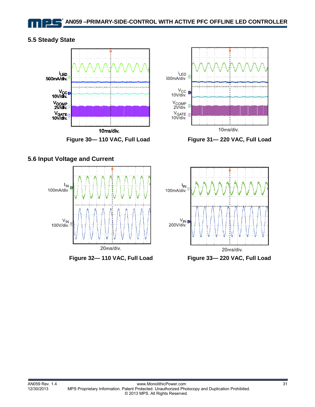#### **5.5 Steady State**







Figure 30-110 VAC, Full Load Figure 31-220 VAC, Full Load



Figure 32-110 VAC, Full Load Figure 33-220 VAC, Full Load

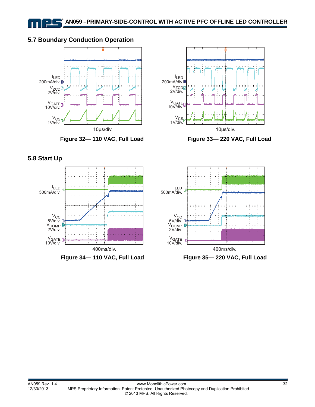#### **5.7 Boundary Conduction Operation**





Figure 32-110 VAC, Full Load Figure 33-220 VAC, Full Load

**5.8 Start Up** 



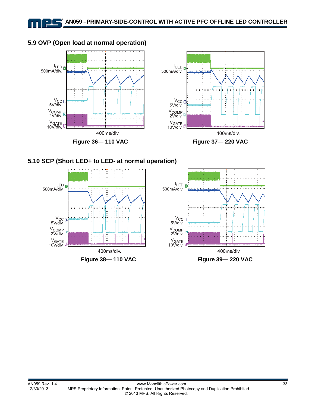#### **5.9 OVP (Open load at normal operation)**

11 L







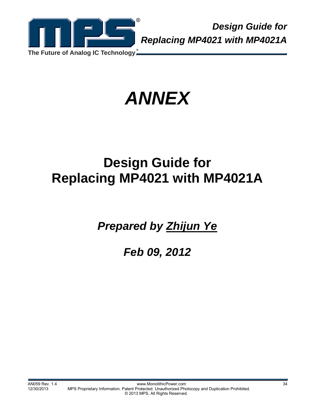

*Design Guide for Replacing MP4021 with MP4021A*

*ANNEX* 

# **Design Guide for Replacing MP4021 with MP4021A**

*Prepared by Zhijun Ye*

*Feb 09, 2012*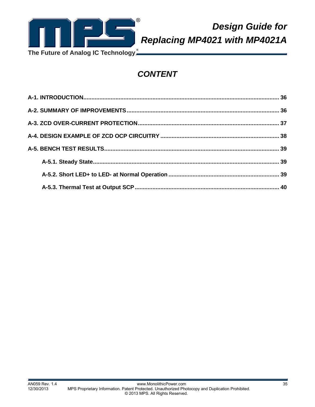

*Design Guide for Replacing MP4021 with MP4021A*

**The Future of Analog IC Technology**

# *CONTENT*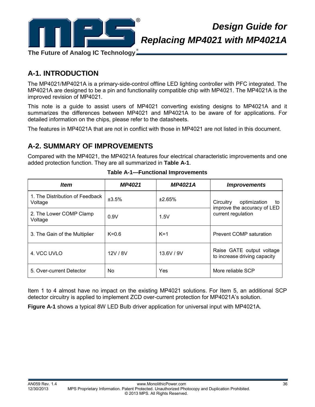

# *Design Guide for Replacing MP4021 with MP4021A*

**A-1. INTRODUCTION** 

The MP4021/MP4021A is a primary-side-control offline LED lighting controller with PFC integrated. The MP4021A are designed to be a pin and functionality compatible chip with MP4021. The MP4021A is the improved revision of MP4021.

This note is a guide to assist users of MP4021 converting existing designs to MP4021A and it summarizes the differences between MP4021 and MP4021A to be aware of for applications. For detailed information on the chips, please refer to the datasheets.

The features in MP4021A that are not in conflict with those in MP4021 are not listed in this document.

# **A-2. SUMMARY OF IMPROVEMENTS**

Compared with the MP4021, the MP4021A features four electrical characteristic improvements and one added protection function. They are all summarized in **Table A-1**.

| <i><b>Item</b></i>                         | <b>MP4021</b> | <b>MP4021A</b> | <i><b>Improvements</b></i>                                     |
|--------------------------------------------|---------------|----------------|----------------------------------------------------------------|
| 1. The Distribution of Feedback<br>Voltage | ±3.5%         | ±2.65%         | Circuitry<br>optimization<br>to<br>improve the accuracy of LED |
| 2. The Lower COMP Clamp<br>Voltage         | 0.9V          | 1.5V           | current regulation                                             |
| 3. The Gain of the Multiplier              | $K=0.6$       | $K=1$          | Prevent COMP saturation                                        |
| 4. VCC UVLO                                | 12V / 8V      | 13.6V/9V       | Raise GATE output voltage<br>to increase driving capacity      |
| 5. Over-current Detector                   | No            | Yes            | More reliable SCP                                              |

Item 1 to 4 almost have no impact on the existing MP4021 solutions. For Item 5, an additional SCP detector circuitry is applied to implement ZCD over-current protection for MP4021A's solution.

**Figure A-1** shows a typical 8W LED Bulb driver application for universal input with MP4021A.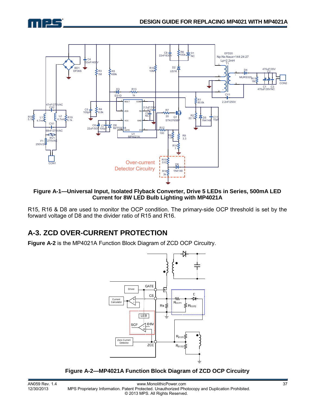



#### **Figure A-1—Universal Input, Isolated Flyback Converter, Drive 5 LEDs in Series, 500mA LED Current for 8W LED Bulb Lighting with MP4021A**

R15, R16 & D8 are used to monitor the OCP condition. The primary-side OCP threshold is set by the forward voltage of D8 and the divider ratio of R15 and R16.

# **A-3. ZCD OVER-CURRENT PROTECTION**

**Figure A-2** is the MP4021A Function Block Diagram of ZCD OCP Circuitry.



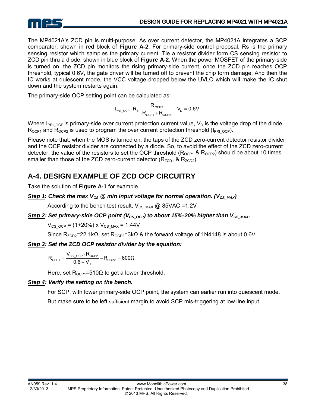

The MP4021A's ZCD pin is multi-purpose. As over current detector, the MP4021A integrates a SCP comparator, shown in red block of **Figure A-2**. For primary-side control proposal, Rs is the primary sensing resistor which samples the primary current. Tie a resistor divider form CS sensing resistor to ZCD pin thru a diode, shown in blue block of **Figure A-2**. When the power MOSFET of the primary-side is turned on, the ZCD pin monitors the rising primary-side current, once the ZCD pin reaches OCP threshold, typical 0.6V, the gate driver will be turned off to prevent the chip form damage. And then the IC works at quiescent mode, the VCC voltage dropped below the UVLO which will make the IC shut down and the system restarts again.

The primary-side OCP setting point can be calculated as:

$$
I_{\text{PRI\_OCP}}\cdot R_s\cdot\frac{R_{\text{OCP2}}}{R_{\text{OCP1}}+R_{\text{OCP2}}}-V_{\text{D}}=0.6V
$$

Where  $I_{PRI_{OCP}}$  is primary-side over current protection current value,  $V_D$  is the voltage drop of the diode.  $R_{OCP1}$  and  $R_{OCP2}$  is used to program the over current protection threshold ( $I_{PRI-OCP}$ ).

Please note that, when the MOS is turned on, the taps of the ZCD zero-current detector resistor divider and the OCP resistor divider are connected by a diode. So, to avoid the effect of the ZCD zero-current detector, the value of the resistors to set the OCP threshold ( $R_{OCP1}$  &  $R_{OCP2}$ ) should be about 10 times smaller than those of the ZCD zero-current detector  $(R_{ZCD1}$  &  $R_{ZCD2}$ ).

# **A-4. DESIGN EXAMPLE OF ZCD OCP CIRCUITRY**

Take the solution of **Figure A-1** for example.

#### *Step 1*: *Check the max*  $V_{CS}$  @ min input voltage for normal operation. ( $V_{CSMAX}$ )

According to the bench test result,  $V_{CS,MAX}$  @ 85VAC =1.2V

#### *Step 2: Set primary-side OCP point (V<sub>CS OCP</sub>) to about 15%-20% higher than V<sub>CS\_MAX</sub>.*

 $V_{CS=OCP}$  = (1+20%) x  $V_{CS=MAX}$  = 1.44V

Since R<sub>ZCD2</sub>=22.1kΩ, set R<sub>OCP2</sub>=3kΩ & the forward voltage of 1N4148 is about 0.6V

#### *Step 3: Set the ZCD OCP resistor divider by the equation:*

$$
R_{_{OCP1}} = \frac{V_{_{CS\_OCP}} \cdot R_{_{OCP2}}}{0.6 + V_{D}} - R_{_{OCP2}} = 600\Omega
$$

Here, set  $R_{OCP1}$ =510 $\Omega$  to get a lower threshold.

#### *Step 4: Verify the setting on the bench.*

For SCP, with lower primary-side OCP point, the system can earlier run into quiescent mode.

But make sure to be left sufficient margin to avoid SCP mis-triggering at low line input.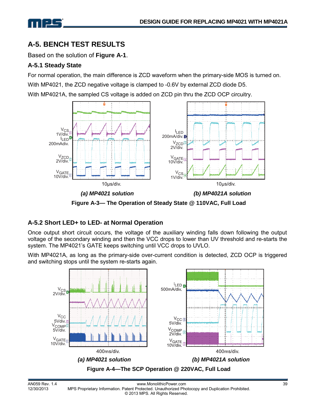

# **A-5. BENCH TEST RESULTS**

Based on the solution of **Figure A-1**.

#### **A-5.1 Steady State**

For normal operation, the main difference is ZCD waveform when the primary-side MOS is turned on. With MP4021, the ZCD negative voltage is clamped to -0.6V by external ZCD diode D5.

With MP4021A, the sampled CS voltage is added on ZCD pin thru the ZCD OCP circuitry.



**Figure A-3— The Operation of Steady State @ 110VAC, Full Load** 

#### **A-5.2 Short LED+ to LED- at Normal Operation**

Once output short circuit occurs, the voltage of the auxiliary winding falls down following the output voltage of the secondary winding and then the VCC drops to lower than UV threshold and re-starts the system. The MP4021's GATE keeps switching until VCC drops to UVLO.

With MP4021A, as long as the primary-side over-current condition is detected, ZCD OCP is triggered and switching stops until the system re-starts again.